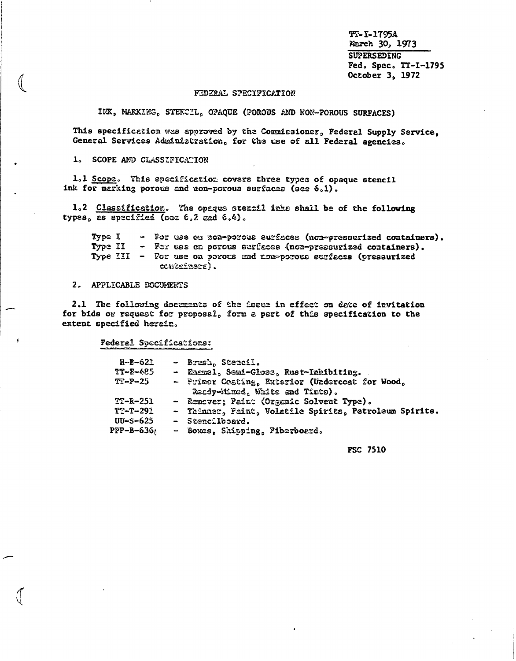TT-I-1795A March 30, 1973 **SUPERSEDING** Fed. Spec. TT-I-1795 October 3, 1972

#### FEDERAL SPECIFICATION

INK, MARKING, STEKCIL, OPAQUE (POROUS AND NON-POROUS SURFACES)

This specification was approved by the Commissioner, Federal Supply Service, General Services Administration, for the use of all Federal agencies.

1. SCOPE AND CLASSIFICATION

1.1 Scope. This specification covers three types of opaque stencil ink for marking porous and non-porous surfaces (see 6.1).

1.2 Classification. The opaque stentil inks shall be of the following types, as specified (see 6.2 and 6.4).

Type I - For use on non-porous surfaces (non-pressurized containers). - For use on porous surfaces (non-pressurized containers). Type II Type III - For use on porous and non-porous surfaces (pressurized containers).

2. APPLICABLE DOCUMENTS

2.1 The following documents of the issue in effect on date of invitation for bids or request for proposal, form a part of this specification to the extent specified herein.

Federal Specifications:

| $H-B-621$              | - Brush, Stencil.                                                                 |
|------------------------|-----------------------------------------------------------------------------------|
| $TT-E-625$             | - Enemal, Semi-Gloss, Rust-Inhibiting.                                            |
| $T1 - P - 25$          | - Primer Coating, Exterior (Undercoat for Wood,<br>Ready-Mixed, White and Tinto). |
| $TT-R-251$             | - Remover; Paint (Organic Solvent Type).                                          |
| $TT - T - 291$         | - Thinner, Paint, Volatile Spirits, Petroleum Spirits.                            |
| $UU-S-625$             | $-$ Stencilboard.                                                                 |
| PPP-B-636 <sub>1</sub> | - Boxes, Shipping, Fiberboard.                                                    |

**FSC 7510**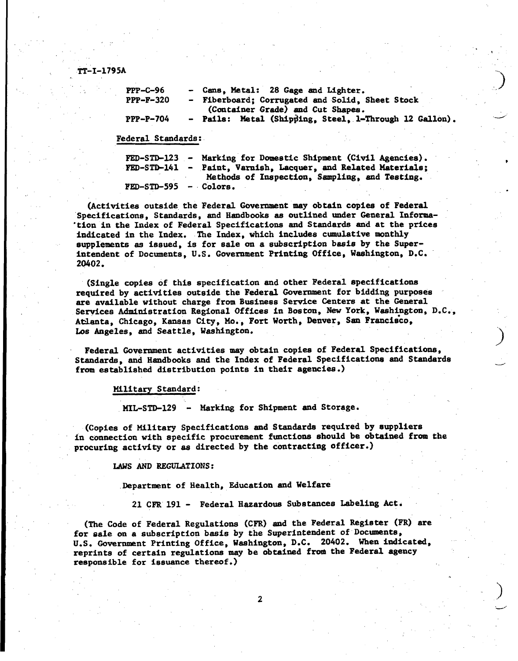**IT-I-1795A -..**

| $PPP - C - 96$ | - Cans, Metal: 28 Gage and Lighter.                                                  |
|----------------|--------------------------------------------------------------------------------------|
| $PPP-F-320$    | - Fiberboard; Corrugated and Solid, Sheet Stock<br>(Container Grade) and Cut Shapes. |
| $PPP-P-704$    | - Pails: Metal (Shipping, Steel, 1-Through 12 Gallon).                               |
|                |                                                                                      |

.—,,

**Federal Standards:**

|  |                         | FED-STD-123 - Marking for Domestic Shipment (Civil Agencies). |  |
|--|-------------------------|---------------------------------------------------------------|--|
|  |                         | FED-STD-141 - Paint, Varnish, Lacquer, and Related Materials; |  |
|  |                         | Methods of Inspection, Sampling, and Testing.                 |  |
|  | $FED-STD-595 - Colors.$ |                                                               |  |

**(Activities outside the Federal Government may obtain copies of Federal "Specifications, Standards, and Handbooks as outlined under General Infoma- ~** "tIon in the **Index of Federal Specifications and Standards and at the prices indicated in the Index. The Index, which includes cumulative monthly supplements as issued, is for sale on a subscription basis by the Superintendent** of Documents, U.S. Government Printing Office, Washington, D.C. 20402.

(Single **copies of this specification and other Federal specifications required by activities outside the Federal Government for bidding purposes are available without charge from Business Service Centers at the General**  $S$ ervices Administration Regional Offices in Boston, New York, Washington, D.C., **AWanta, Chicago, Kansas City, Me., Fort Worth, Denver, San Francisco, LOS Angeles, and Seattle, Washington.**

**Federal Government activities may obtain copies of Federal Specifications, Standards, and Handbooks and the Index of Federal Specifications and Standards from established distribution points in their agencies.)**

**Military Standard: .**

**MIL-STD-129 - Marking for Shipment and Storage.**

**(Copies of Military Specifications and Standards required by suppliers in connection with specific procurement functions should be obtained from tha procuring activity or as directed by the contracting officer.)**

**LAWS AND REGULATIONS:**

**.Department of Health, Education and Welfare**

**21 CFR 191 - Federal Hazardous Substances Labeling** Act.

**(The Code of Federal Regulations (CFR) and the Federal Register (FR) are for @ale on a subscription basis** *by the* **Superintendent of Documents, U.S. Government Printing Office, Washington, D.C. 20402. When indicated, reprints of certain regulations may be obtained froulthe Federal agency responsible for issuance thereof.) ,,**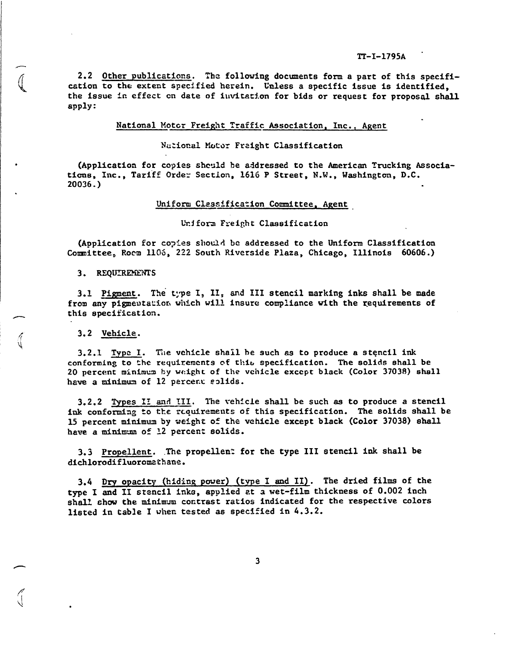2.2 Other publications. The following documents form a part of this specification to the extent specified herein. Unless a specific issue is identified. the issue in effect on date of invitation for bids or request for proposal shall apply:

National Motor Freight Traffic Association, Inc., Agent

National Motor Freight Classification

(Application for copies should be addressed to the American Trucking Associations, Inc., Tariff Order Section, 1616 P Street, N.W., Washington, D.C.  $20036.$ 

#### Uniform Classification Committee, Agent

#### Uniform Freight Classification

(Application for copies should be addressed to the Uniform Classification Committee, Rocm 1106, 222 South Riverside Plaza, Chicago, Illinois 60606.)

3. REQUIREMENTS

3.1 Pigment. The type I, II, and III stencil marking inks shall be made from any pigmentation which will insure compliance with the requirements of this specification.

3.2 Vehicle.

3.2.1 Type I. The vehicle shall be such as to produce a stencil ink conforming to the requirements of thit specification. The solids shall be 20 percent minimum by weight of the venicle except black (Color 37038) shall have a minimum of 12 percent solids.

3.2.2 Types II and III. The vehicle shall be such as to produce a stencil ink conforming to the requirements of this specification. The solids shall be 15 percent minimum by weight of the vehicle except black (Color 37038) shall have a minimum of 12 percent solids.

3.3 Propellent. The propellent for the type III stencil ink shall be dichlorodifluoromathane.

3.4 Dry opacity (hiding power) (type I and II). The dried films of the type I and II stencil inks, applied at a wet-film thickness of 0.002 inch shall show the minimum contrast ratios indicated for the respective colors listed in table I when tested as specified in 4.3.2.

 $\overline{\mathbf{3}}$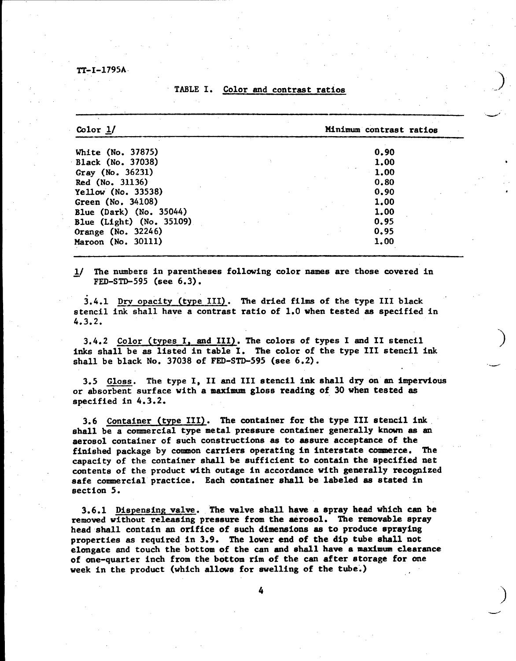## TABLE I. Color and contrast ratios

**Color &/ Minimum contrast ratios**

.-'

**d**

| White (No. 37875)        | 0.90        |              |
|--------------------------|-------------|--------------|
| Black (No. 37038)        | 1.00        |              |
| Gray (No. 36231)         | <b>1.00</b> |              |
| Red (No. 31136)          | 0.80        | $\mathbf{r}$ |
| Yellow (No. 33538)       | 0.90        |              |
| Green (No. 34108)        | 1.00        |              |
| Blue (Dark) (No. 35044)  | 1.00        |              |
| Blue (Light) (No. 35109) | 0.95        |              |
| Orange (No. 32246)       | 0.95        |              |
| Maroon (No. 30111)       | 1,00        |              |
|                          |             |              |

**l\_\ The numbers in parentheses following color names are those covered in FED-STD-595 (see 6.3).**

**i.4.l ~w opacity (type III). The dried films of the type 111 black ' stencil ink shall have a contrast ratio of 1.0 when tested as specified in 4.3.2.**

**3.4.2 Color (types 1. and III). The colors of** types **I and II stencil ') inks shall be as listed in table I. The color of the type 111 stencil ink shall be black No. 37038 of FED-STD-595 (see 6.2). .4**

**3.5 Gloss. The type I, 11 and 111 stencil ink shall dry on an impervious or absorbent surface with a maximum gloss reading of 30 when tested as specified in 4.3.2.**

**3.6 Container (type III). The container for the type III stencil ink shall be a commercial type metal pressure container generally known as an aerosol container of such constructions as to assure acceptance of the finished package** by common carriers operating in Interstate commerce. The capacity of the container shall be sufficient to contain the specified net contents of the product with outage in accordance with generally recognized safe commercial practice. Each container shall be labeled as stated In section 5.

**3.6.1 Dispensing valve. 'Thevalve shall have a spray head which can be removed without releasing pressure from the tirosol. The removable spray head shall contain an orifice of such dimensions as to produce spraying properties as required in 3.9. The lower end of the dip** tube shall not elongate and touch the bottom of the can and shall have a maximum clearance of one-quarter Inch from the bottom rim of **the can** after **storage for one** week in **the product (which allows for swelling of the tube.)**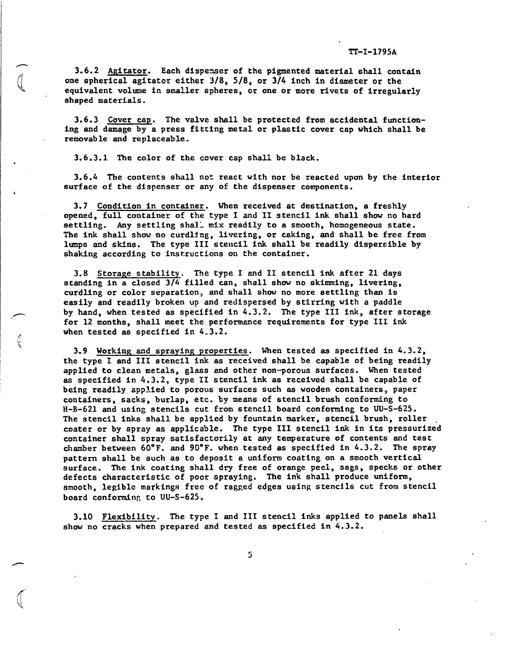**3.6.2 Agitator.** Each dispenser of the pigmented material shall contain one **spherical agitator either 318, 518, or 314 inch in diameter or the equivalent volume in smaller spheres, or one or more rivets of irregularly shaped materials.**

**3.6.3 Cover cap. The valve shall be protected from accidental functioning and damage by a press fitting metal or plastic cover cap which shall be removable and replaceable.**

3.6.3.1 The **color of the cover cap shall be black.**

3.6.4 The **contents shall no: react with nor be reacted upon by the interior surface of the dispenser or any of the dispenser components.**

3.7 **Condition in container. When received at destination, a freshly opened, full container of the type I and II stencil ink shall show no hard settling. Any settling shal: mix readily to a smooth, homogeneous state. The ink shall show no curdl~ng, livering, or caking, and shall be free from lumps and skins. The type 111 stencil ink shall be readily dispersible by shaking according** *to* **insr.ructionson the container.**

**3.8 Storage stability. The type I and 11 stencil ink after 21 days standing in a closed 3/4 filled can, shall show no skimming, livering, curdling or color separation: and shall show no more settling than is easily and readily broken up and redispersed by stirring with a paddle by hand, when tested as specified in 4.3.2. The type III ink, after storage for 12 months, shall meet the performance requirements for type 111 ink when tested as specified In 4.3.2.**

**3.9 Working** and **spraying properties. When tested as specified in 4.3.2, the type I and 111 stencil ink as received shall be capable of being readily applied to clean** metals, glass and other non-poroussurfaces. When tested as specified**in 4.3.2, type 11 stencil ink as received shall be capable of being readily applied to porous surfaces such as wooden containers paper containers, sacks, burlap, etc. by means of stencil brush confoming to H-B-621 and using stencils cut** from **stencil board conforming to UU-S-625. The stencil ink8 shall be applied by fountain marker, stencil brush, roller coater or by spray as applicable. The type III stencil ink in its pressurized container shall spray satisfactorily at any temperature of contents and test chamber between 60"F. and 90"F. when tested as specified in 4.3.2. The spray pattern shall be such as to deposit a uniform coating on a smooth vertical surface. The ink** *coating* **shall dry free of orange peel, sags, specks or other defects characteristic of poor spraying. The ink shall produce uniform, smooth, legible markings free of ragged edges using stencils cut from stencil board** conforming to UU-S-625.

3.10 **Flexibility. The type I and III stencil inks applied to panels shall** show no **cracks when prepared and tested as specified in 4.3.2.**

5

/f- %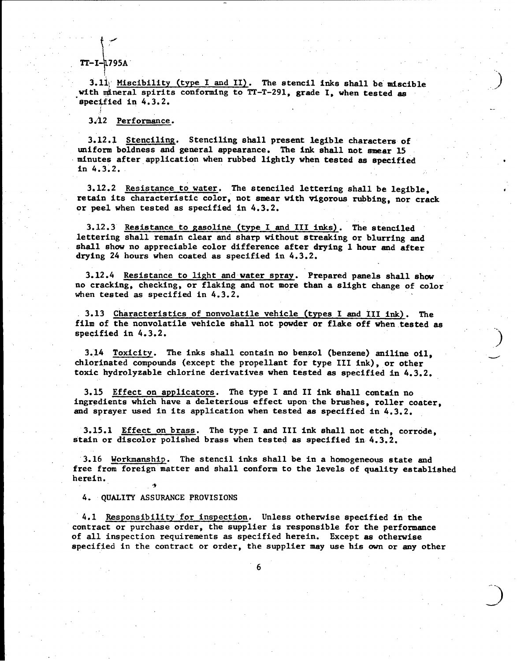#### $\overline{a}$ **lT-I- 795A**

**I**

 $\begin{bmatrix} 1 & 0 & 0 \\ 0 & 0 & 0 \\ 0 & 0 & 0 \\ 0 & 0 & 0 \\ 0 & 0 & 0 \\ 0 & 0 & 0 \\ 0 & 0 & 0 \\ 0 & 0 & 0 \\ 0 & 0 & 0 \\ 0 & 0 & 0 \\ 0 & 0 & 0 \\ 0 & 0 & 0 \\ 0 & 0 & 0 \\ 0 & 0 & 0 & 0 \\ 0 & 0 & 0 & 0 \\ 0 & 0 & 0 & 0 \\ 0 & 0 & 0 & 0 & 0 \\ 0 & 0 & 0 & 0 & 0 \\ 0 & 0 & 0 & 0 & 0 \\ 0 & 0 & 0 & 0 & 0 &$ 

I

I

**I**

 $\label{eq:2.1} \begin{array}{ll} \mathbf{1} & \mathbf{1} & \mathbf{1} & \mathbf{1} \\ \mathbf{1} & \mathbf{1} & \mathbf{1} & \mathbf{1} \\ \mathbf{1} & \mathbf{1} & \mathbf{1} & \mathbf{1} \\ \mathbf{1} & \mathbf{1} & \mathbf{1} & \mathbf{1} \\ \mathbf{1} & \mathbf{1} & \mathbf{1} & \mathbf{1} \\ \mathbf{1} & \mathbf{1} & \mathbf{1} & \mathbf{1} \\ \mathbf{1} & \mathbf{1} & \mathbf{1} & \mathbf{1} \\ \mathbf{1} & \$ 

**3.11** Miscibility (type I and II). The stencil inks shall be miscible **with ~neral spirits conforming to 77-T-291, grade I, when tested as "spec\$fied in 4.3.2.**

**,.\**

**1**

.. . **\_)**

**....**

**3,~2 Performance.**

,,

**3.12.1 Stenciling. Stenciling shall present legible characters of uniform boldness and general appearance. The ink shall not smaar 15 minutes afterapplication when rubbed lightly when tested ss** specified . in  $4.3.2.$ 

3.12.2 Resistance to water. The stenciled lettering shall be legible,<br>retain its characteristic color, not smear with vigorous rubbing, nor crack<br>or peel when tested as specified in 4.3.2.<br>3.12.3 Resistance to gasoline (ty **retain its characteristic color, not smear with vigorous rubbing, nor crack** *or* **peel when tested as specified in 4.3.2.**

**3.12.3** Resistance to gasoline (type I and III inks). The stenciled **lettering shall remain clear and sharp without streaking or blurring and shall show no appreciable color difference after drying 1 hour and after drying 24 hours when coated as specified in 4.3.2.**

**3.12.4 Resistance to light andwater spray. Prepared panels shall show no cracking, checking, or flaking and not more than a slight change of color when tested as specified in 4.3.2.**

**3.13 Characteristics of nonvolatile vehicle (types I and III ink). The film of the nonvolatile vehicle shall not powder or flake off when,tested as .. specified in 4.3.2.**

**3.14 Toxicity.** The inks shall contain no benzol (benzene) aniline oil, **chlorinated compounds (except the propellant for type 111 ink), or other toxic hydrolyzable chlorine derivatives when tested as specified in 4.3.2.**

**3.15 Effect on applicators. The type I and II ink shall contain no ingredients which have a deleterious effect upon-the brushes, roller coater, and sprayer used in its application when tested as specified in 4.3.2.**

**3.15.1 Effect on brass. The type I and 111 ink shall not etch, corrbde, stain or discolor polished brass when tested as specified in.4.3.2.**

**3.16 thorkmanship. The stencil inks shall be in a homogeneous state and free from foreign'matter and shall conform to the levels of quality established herein., 's**

**4. QUALITY ASSURANCE PROVISIONS**

4.1 Responsibility for inspection. Unless otherwise specified in the contract or purchase order, the supplier is responsible for the performan of all inspection requirements as specified herein. Except as otherwise specifi contract or purchase order, the supplier is responsible for the performance of all inspection requirements as specified herein. Except as otherwise specified in ihe contract or order, the suppliermay use **his own or any other**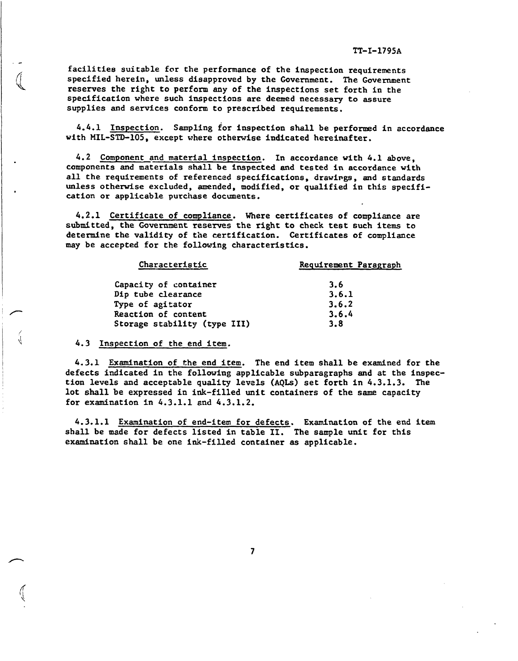**facilities suitable for the performance of the inspection requirements specified herein, unless disapproved by the Government. The Government reserves the right to perform any of the inspections set forth in the specification where such inspections are deemed necessary to assure supplies and services conform to prescribed requirements.**

**4.4.1 Inspection. Sampling for inspection shall be performed in accordance with** MIL-STD-105. **except where othewise indicated hereinafter.**

**4.2 Component and material inspection. In accordance with 4.1 above, components and materials shall be inspected and tested in accordance with all the requirements of referenced specifications, drawings, and standards unless othemise excluded, amended, modified, or qualified in this specification or applicable purchase documents.**

4.2.1 Certificate of compliance. Where certificates of compliance are submitted, **the Government resenes the right to check test such items to determine the validity of the certification. Certificates of compliance may be accepted for the following characteristics.**

| Requirement Paragraph |
|-----------------------|
| 3.6                   |
| 3.6.1                 |
| 3.6.2                 |
| 3.6.4                 |
| 3.8                   |
|                       |

**4.3 Inspection of the** end item.

**4.3.1 Examination of the end item. The end item shall be exanined for the defects indicated in the followlng applicable subparagraphs and at the inspection levels and acceptable quality levels (AQLS) set forth in 4.3.1.3. The lot shall be expressed in ink-filled unit containers of the same capacity for examination in 4.3.1.1 and 4.3.1.2.**

4.3.1.1 Examination of end-item for defects. Examination of the end item shall be made for defects listed in table II. The sample unit for this examination shall be one ink-filled container as applicable.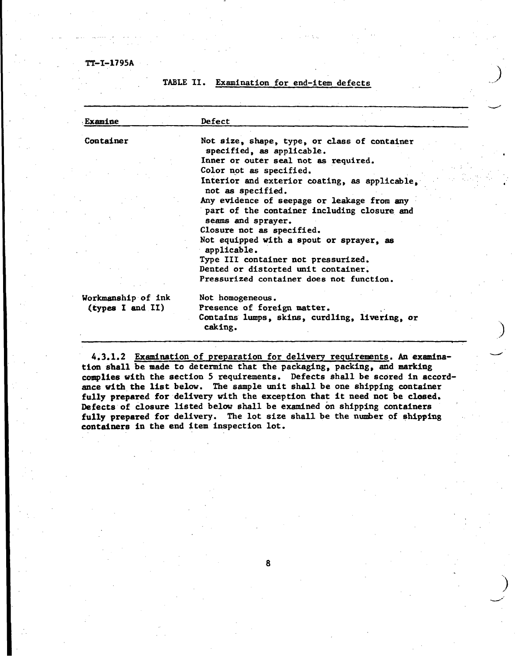**TABLE 11. Examination for end-item defects**

| Examine            | Defect                                                                    |
|--------------------|---------------------------------------------------------------------------|
| Container          | Not size, shape, type, or class of container<br>specified, as applicable. |
|                    | Inner or outer seal not as required.                                      |
|                    | Color not as specified.                                                   |
|                    | Interior and exterior coating, as applicable,<br>not as specified.        |
|                    | Any evidence of seepage or leakage from any                               |
|                    | part of the container including closure and                               |
|                    | seams and sprayer.                                                        |
|                    | Closure not as specified.                                                 |
|                    | Not equipped with a spout or sprayer, as<br>applicable.                   |
|                    | Type III container not pressurized.                                       |
|                    | Dented or distorted unit container.                                       |
|                    | Pressurized container does not function.                                  |
| Workmanship of ink | Not homogeneous.                                                          |
| (types I and II)   | Presence of foreign matter.                                               |
|                    | Contains lumps, skins, curdling, livering, or<br>caking.                  |

,. **)**

4.3.1.2 Examination of preparation for delivery requirements. An examination shall be made to determine that the packaging, packing, and marking complies with the section 5 requirements. Defects shall be scored in accordance with the list below. The sample unit shall be one shipping container fully prepared for delivery with the exception that it need not be closed. **Defects of** *closure* **listed below shall be examined on shipping containers ' fully prepared for delivery. The lot size shall be the number of shipping containers in the end item inspection lot.**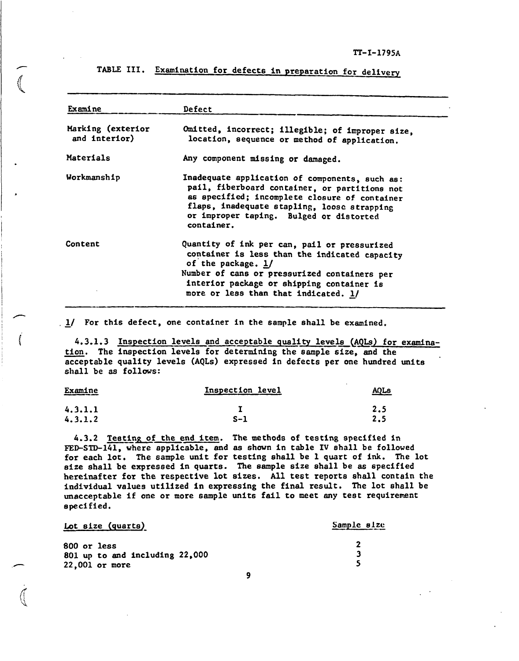**TI'-1-1795A**

| Examine                            | Defect                                                                                                                                                                                                                                                   |
|------------------------------------|----------------------------------------------------------------------------------------------------------------------------------------------------------------------------------------------------------------------------------------------------------|
| Marking (exterior<br>and interior) | Omitted, incorrect; illegible; of improper size,<br>location, sequence or method of application.                                                                                                                                                         |
| Materials                          | Any component missing or damaged.                                                                                                                                                                                                                        |
| Workmanship                        | Inadequate application of components, such as:<br>pail, fiberboard container, or partitions not<br>as specified; incomplete closure of container<br>flaps, inadequate stapling, loose strapping<br>or improper taping. Bulged or distorted<br>container. |
| Content                            | Quantity of ink per can, pail or pressurized<br>container is less than the indicated capacity<br>of the package. 1/<br>Number of cans or pressurized containers per<br>interior package or shipping container is<br>more or less than that indicated. 1/ |

**TABLE III. Examination for defects in preparation for delivery**

**.\_1/ For this defect, one container in the sample shall be examined.**

.

,

I

4.3.1.3 Inspection levels and acceptable quality levels (AQLs) for examination. The inspection levels for determining the sample size, and the acceptable quality levels (AQLs) expressed in defects per one hundred units **shall be as follows:**

| Examine<br>________ | Inspection level | AQL <sub>B</sub> |  |  |
|---------------------|------------------|------------------|--|--|
| 4.3.1.1             |                  | 2.5              |  |  |
| 4.3.1.2             | $S-1$            | 2.5              |  |  |

4.3.2 **Testing of the end item.** The methods of testing specified in **F'ED-STD-141,where applicable, and as shown in table IV shall be followed for each lot. The sa&ple unit for testing shall be 1 quart of Ink. The lot size shall be expressed in quarts. The sample size shall be as specified hereinafter for the respective lot sizes. All test reports shall contain the individual values utilized in evressing the final result. The lot shall be unacceptable if one or more sample units fail to meet any test requirement epeclfied.**

| Lot size (quarts)              | Sample size |
|--------------------------------|-------------|
| 800 or less                    |             |
| 801 up to and including 22,000 |             |
| <b>22.001 or more</b>          |             |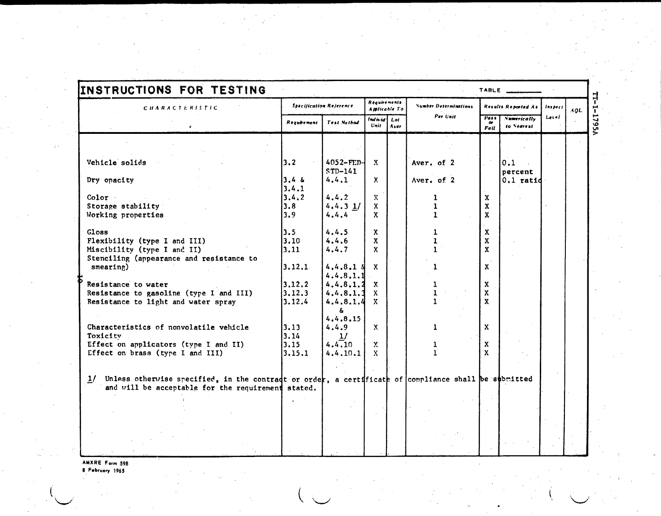| <b>CHARACTERISTIC</b>                                                                                                                                           | <b>Specification Reference</b> |                           | <b>Requirements</b><br><b>Applicable To</b> |      | <b>Number Determinations</b> | Results Reported As             |                                  | Inspect | AQL. |
|-----------------------------------------------------------------------------------------------------------------------------------------------------------------|--------------------------------|---------------------------|---------------------------------------------|------|------------------------------|---------------------------------|----------------------------------|---------|------|
|                                                                                                                                                                 | Requirement                    | Test Method               | Individ Lot<br>Unit                         | Aver | Per Unit                     | Pass <sub></sub><br><b>Fail</b> | <b>Numerically</b><br>to Nearest | Leiel   |      |
|                                                                                                                                                                 |                                |                           |                                             |      |                              |                                 |                                  |         |      |
|                                                                                                                                                                 |                                |                           |                                             |      |                              |                                 |                                  |         |      |
| Vehicle solids                                                                                                                                                  | 3.2                            | $4052 - FED$<br>$STD-141$ | $\mathbf{x}$                                |      | Aver. of 2                   |                                 | 0.1<br>percent                   |         |      |
| Dry opacity                                                                                                                                                     | 3.46<br>3.4.1                  | 4.4.1                     | X.                                          |      | Aver. of 2                   |                                 | $0.1$ ratid                      |         |      |
| Color                                                                                                                                                           | 3.4.2                          | 4.4.2                     | X.                                          |      |                              | $\mathbf x$                     |                                  |         |      |
| Storage stability                                                                                                                                               | 3.8                            | $4.4.3$ 1/                | $\mathbf{x}$                                |      | ı<br>$\mathbf{1}$            | $\mathbf x$                     |                                  |         |      |
| Working properties                                                                                                                                              | 3.9                            | 4.4.4                     | $\mathbf{x}$                                |      | $\mathbf{1}$                 | $\mathbf{x}$                    |                                  |         |      |
|                                                                                                                                                                 |                                |                           |                                             |      |                              |                                 |                                  |         |      |
| Gloss                                                                                                                                                           | 3.5                            | 4.4.5                     | X.                                          |      |                              | $\mathbf x$                     |                                  |         |      |
| Flexibility (type I and III)                                                                                                                                    | 3.10                           | 4.4.6                     | X.                                          |      |                              | X                               |                                  |         |      |
| Miscibility (type I and II)                                                                                                                                     | 3.11                           | 4.4.7                     | $\mathbf{x}$                                |      |                              | $\mathbf{x}$                    |                                  |         |      |
| Stenciling (appearance and resistance to                                                                                                                        |                                |                           |                                             |      |                              |                                 |                                  |         |      |
| smearing)                                                                                                                                                       | 3.12.1                         | $4.4.8.1$ $s$             | X                                           |      | 1.                           | $\mathbf{x}$                    |                                  |         |      |
|                                                                                                                                                                 |                                | 4.4.8.1.1                 |                                             |      |                              |                                 |                                  |         |      |
| Resistance to water                                                                                                                                             | 3.12.2                         | $4, 4, 8, 1, 2 \quad X$   |                                             |      |                              | $\mathbf x$                     |                                  |         |      |
| Resistance to gasoline (type I and III)                                                                                                                         | 3.12.3                         | 4.4.8.1.3                 | $\mathbf{X}$                                |      |                              | $\mathbf x$                     |                                  |         |      |
| Resistance to light and water spray                                                                                                                             | 3.12.4                         | 4.4.8.1.4                 | $\mathbf{x}$                                |      | $\mathbf{L}$                 | $\mathbf{x}$                    |                                  |         |      |
|                                                                                                                                                                 |                                | å.                        |                                             |      |                              |                                 |                                  |         |      |
|                                                                                                                                                                 |                                | 4.4.8.15                  |                                             |      |                              |                                 |                                  |         |      |
| Characteristics of nonvolatile vehicle                                                                                                                          | 3.13                           | 4.4.9                     | $\mathbf{x}$                                |      | 1                            | $\mathbf{x}$                    |                                  |         |      |
| Toxicity                                                                                                                                                        | 3.14                           | 1/                        |                                             |      |                              |                                 |                                  |         |      |
| Effect on applicators (type I and II)                                                                                                                           | 3.15                           | 4, 4, 10                  | $\mathbf{y}$                                |      | 1                            | $\mathbf{x}$                    |                                  |         |      |
| Effect on brass (type I and III)                                                                                                                                | 3.15.1                         | 4.4.10.1                  | $\mathbf{X}$                                |      |                              | $\mathbf{x}$                    |                                  |         |      |
|                                                                                                                                                                 |                                |                           |                                             |      |                              |                                 |                                  |         |      |
|                                                                                                                                                                 |                                |                           |                                             |      |                              |                                 |                                  |         |      |
| $1/$ Unless otherwise specified, in the contradt or order, a certificate of compliance shall be submitted<br>and will be acceptable for the requirement stated. |                                |                           |                                             |      |                              |                                 |                                  |         |      |
|                                                                                                                                                                 |                                |                           |                                             |      |                              |                                 |                                  |         |      |
|                                                                                                                                                                 |                                |                           |                                             |      |                              |                                 |                                  |         |      |
|                                                                                                                                                                 |                                |                           |                                             |      |                              |                                 |                                  |         |      |
|                                                                                                                                                                 |                                |                           |                                             |      |                              |                                 |                                  |         |      |
|                                                                                                                                                                 |                                |                           |                                             |      |                              |                                 |                                  |         |      |
|                                                                                                                                                                 |                                |                           |                                             |      |                              |                                 |                                  |         |      |

AMXRE Form 598<br>8 February 1965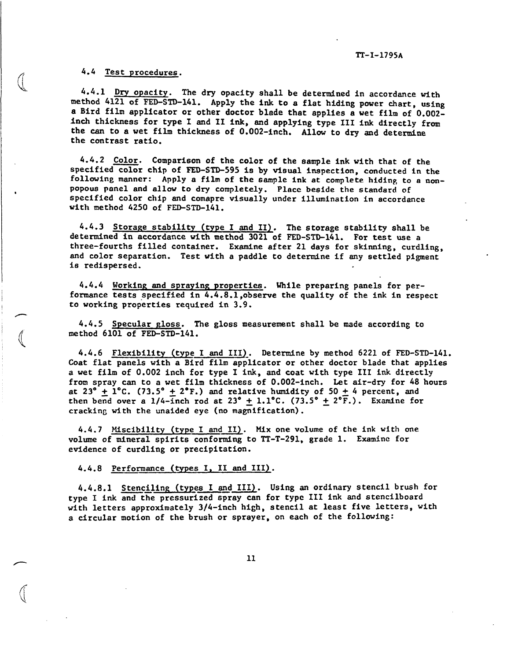#### **4.4 Test procedures.**

 $\mathbb{C}$ 

**(**

**F**

**4.4.1 Dry opacity. The dry opacity shall be determined in accordance with method 4121 of FED-STD-141. Apply the ink** to **a** flat hiding power chart, using **a Bird film applicator or other doctor** blade that amlies a wet film of 0.002 **inch thickness for type I and 11 ink, and applyfng ~~pe 111 ink directly from the can to a wet film** thicknessof **0.002-inch. Allow to dry and determine the contrast ratio.**

**4.4.2 Color.** Comparisonof **the color of the sample** ink **with that of the specified color chip of FED-STD-595 5.sby visual inspection, conducted in** the **following manner: Apply a film of the sample ink at complete hiding to a nonpopous panel and allow to dry completely. Place beside the standard of , specified color chip and comapre visually under illumination in accordance with method 4250 of FED-STD-141.**

**4.4.3 Storage stability (tYPeIandII). The storage stability shall be determined in accordance with method 3021 of FED-STD-141. For test use a**  $three-fourths filled container.$  **Examine** after 21 days for skinning, curdling, **and color separation. Test with a paddle to determine if any settled pigment is redispersed.**

**4.4.4 Workinp and spraying Propertiea. While preparing panels for performance tests .specifi.edin 4.4.8.1,0bserve the quality of the ink in respect to working properties required in 3.9.**

**4.4.5 Specular gloss. The gloss measurement shall be made according to d method 6101 of FED-STD-141.**

**4.4.6 Flexibility (type I and 111)-. Determ.lneby method 6221 of FED-STD-141. Coat** flat panels with a Bird film applicator or other doctor blade that applies **a wet film of 0.002 inch for type I ink, and coat with type 111 ink directly** from spray can to a wet film thicknessof 0.002-inch. Let air-dry for 48 hours at  $23^{\circ}$  + 1°C. (73.5° + 2°F.) and relative humidity of 50 + 4 percent, and  $t$ hen bend over a 1/4-inch rod at 23°  $+$  1.1°C.  $(73.5° + 2°\overline{F})$ . Examine for **crackin~ with the unaided eye (no magnification).**

**4.4.7 Miscibility (type I and II). Mix one volume of the ink with one volume of mineral spirits conforming to TT-T-291, grade 1. Examine for** evidence of curdling or precipitation.

4.4.8 **Performance (tYPes I, II and III).**

**4.4.8.1 Stenciling (types I and III). Using an ordinary stencil brush for type I ink anclthe pressurized spray can for type 111 ink and stencilboard with letters approximately 3/4-inch high , stencil at least five letters, with a circular motion of the brush or sprayer, on each of the following:**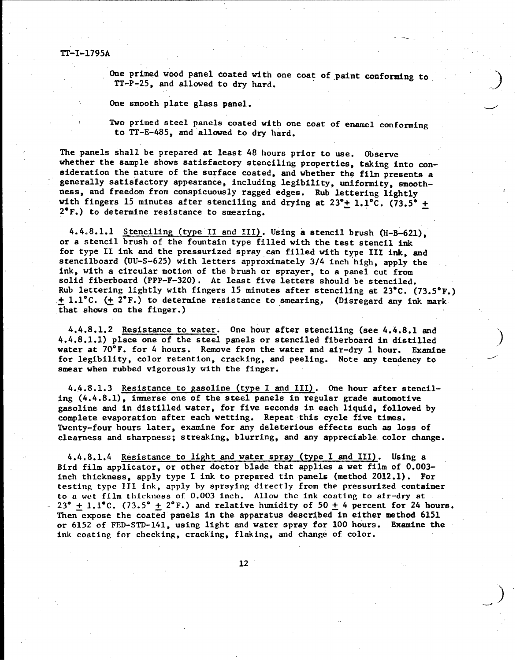I

**I**

I<br>I Provincia de la provincia de la provincia de la provincia de la provincia de la provincia de la provincia d<br>I Provincia de la provincia de la provincia de la provincia de la provincia de la provincia de la provincia d

**I**

One primed wood panel coated with one coat of paint conforming to  $TT-P-25$ , and allowed to dry hard.

---- .

..

**J**

**One smooth plate glass panel. d**

Two primed steel panels coated with one coat of enamel conforming **to TT-E-485, and allowed to dry hard.**

**The panels shall be prepared at least 48 hours prior to use. Obsene whether the sample shows satisfactory stenciling properties, taking into ~nsideration the nature of the surface coated, and whether the film presents a ~ generally satisfactory appearance, including legibility, uniformity, smoothness, and freedom from conspicuously ragged edges. Rub lettering lightly** with fingers 15 minutes after stenciling and drying at  $23^{\circ}+1.1^{\circ}$ C. (73.5° + **2°F.) to determine resistance to smearing.**

**4.4.8.1.1 Stencilin~ (type II and 111) . Using a stencil brush (H-B-621), or a stencil brush of the fountain type filled with the test stencil ink for type 11 ink and the pressurized spray can filled with type III ink, and stencilboard (UU-S-625) with letters approximately 3/4 inch high, apply the ink, with a circular motion of the brush or sprayer, to a panel cut from solid fiberboard (PPP-F-320). At least five letters should be stenciled. Rub lettering lightly with fingers 15 minutes after stenciling at 23°C. (73.5"F.) ~ 1.l"C. ~ 2"F..)to determine resistance to smearing,. (Disregard any ink mark that shows on the finger.)**

4.4.8.1.2 Resistance to water. One hour after stenciling (see 4.4.8.1 and 4.4.8.1.1)place one of the steel panels or stenciled fiberboard**in distilled ) water at 70°F. for 4 hours. Remove from the water and air-dry 1 hour. Examine for legibility, color retention, cracking, and peeling. Note any tendency to J' smear when rubbed vigorously with the finger.**

**4.4.8.1.3 Resistance to gasoline (type I and III). One hour after stenciling (4.4.8.1), imnerse one of the steel panels in regular grade automotive gasoline and in distilled water, for five seconds in each liquid, followed by complete evaporation after each wetting. Repeat this cycle five times. Twenty-four hours later, examine for any deleterious effects such as loss of clearness and sharpness; streaking, blurring, and any appreciable color change.**

4.4.8.1.4 Resistance to light and water spray (type I and III). Using a Bird film applicator,or other doctor blade **that applies a wet film of 0.003 inch thickness, apply type** I ink **to prepared tin panels (method 2012.1). For testin~ type ITI ink, apply by spraying directly from the pressurized container**  $\tan \theta$  **to a** wet film thickness of 0.003 inch. Allow the ink coating to air-dry at  $23^{\circ}$  **+**  $1.1^{\circ}$ C. (73.5°  $\pm$  2°F.) and **relative** humidity of 50  $\pm$  4 percent for 24 hours. **Then expose the coated panels In the apparatus described in either method 6151 or 6152 of FED-STD-141, using light and water spray for 100 hours. Examine the ink coating for checking, cracking, flaking, and change of color.**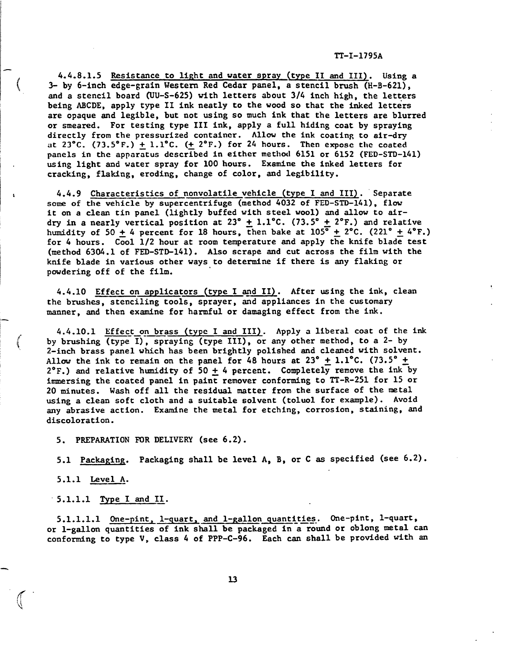**4.4.8.1.5 Resistance to IIEht and water spray (type II and III). Using a 3- by 6-inch edge-grain Western Red Cedar panel, a stencil brush (H-B-621), and a stencil board (UU-S-625) with letters about 3/4 inch high, the letters being ABCDE, apply type II ink neatly to the wood so that the inked letters are opaque and legible, but not using so much ink that the letters are blurred or smeared. For testing type III ink, apply a full hiding coat by spraying directly** from the pressurized container. Allow the ink coating to air-dry at **23°C. (73.5\*F.) ~ l.l°C. (+ 2°F.) for 24 hours. Then expose the coated panels** in the apparatus described in either method 6151 or 6152 (FED-STD-141) **using light and water spray for 100 hours. Examine the inked letters for cracking, flaldng, eroding, change of color, and legibility.**

4.4.9 Characteristics of nonvolatile vehicle (type I and III). Separate some of the vehicle by supercentrifuge (method 4032 of FED-STD-141), flow **it on a clean tin panel (iightly buffed with steel wool) and allow to air**dry in a nearly vertical position at  $23^{\circ}$   $+ 1.1^{\circ}$ C. (73.5° + 2°F.) and relative  $h$ umidity of  $50 + 4$  percent for 18 hours, then bake at  $105^{\circ} + 2^{\circ}$ C. (221°  $+ 4^{\circ}$ F.) **for 4 hours. Cool 1/2 hour at room temperature and apply the knife blade test (method 6304.1 of FED-STD-141). Also scrape and cut across the film with the knife blade in vartous other ways to determine if there is any flaking or powdering off of the film.**

**4.4.10 Effect on applicators** (type **I and II). After using the ink, clean the brushes, stenciling tools, sprayer,** and **appliances in the customary manner, and then examine for harmful or damaging effect from the ink.**

**4.4.10.1 Effect on brass (type I and III). Apply a liberal coat of the ink by brushing '-—-,-raying (type 1) (type 111), or any other method, to a 2- by 2-inch brass panel which has been brightly polished and** cleaned**with solvent.** Allow the ink to remain on the panel for 48 hours at  $23^{\circ}$  + 1.1°C. (73.5°  $+$ **2"F.) and relative humidity of 50 ~ 4 percent. Completely remove the ink by immersing the coated panel in paint remover conforming to TT-R-251 for 15 or 20 minutes. Wash off all the residual matter from the surface of the metal using a clean soft cloth and a suitable solvent (toluol for example). Avoid any abrasive action. Examine the metal for etching, corrosion,** staining,md discoloration.

5. **PREPARATION FOR DELIVERY (see 6.2).** 

**5.1 Packapin~. Packaging shall be level A, B, or C as specified (see 6.2).**

**5.1.1 Level A.**

**5.1.1.1 Type I and IX\_.**

5.1.1.1.1 One-pint, 1-quart, and 1-gallon quantities. One-pint, 1-quart, **or l-gallon quantities of ink shall be packaged in a round or oblong metal can** conforming to type V, class 4 of PPP-C-96. Each can shall be provided with an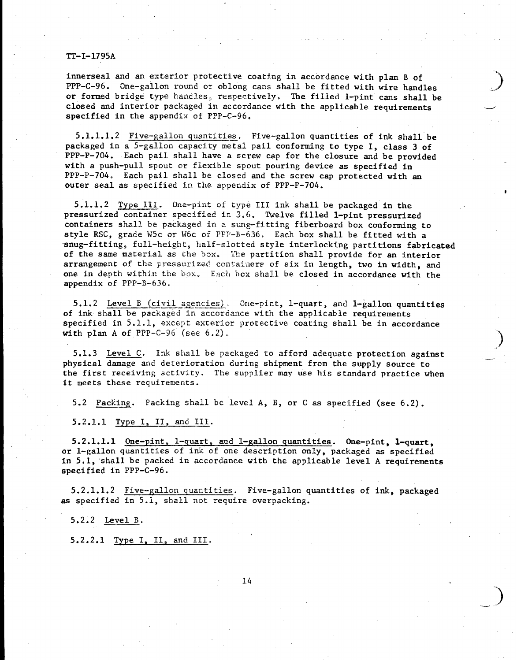innerseal and an exterior protective coating in accordance with plan B of PPP-C-96. One-gallon round or oblong cans shall be fitted with wire handles or formed bridge type handles, respectively. The filled 1-pint cans shall be closed and interior packaged in accordance with the applicable requirements specified in the appendix of PPP-C-96.

.<br>محتمد *...*.

**)**

**...**

**—..- ')**

 $5.1.1.1.2$  Five-gallon quantities. Five-gallon quantities of ink shall be packaged in a 5-gallon capacity metal pail conforming to type I, class 3 of PPP-P-704. Each pail shall have a screw cap for the closure and be provided with a push-pull spout or flexible spout pouring device as specified in PPP-P-704. Each pail shall be closed and the screw cap protected with an outer seal as specified in the appendix of PPP-P-704.

5.1.1.2 Type III. One-pint of type III ink shall be packaged in the pressurized container specified in 3.6. Twelve filled 1-pint pressurized containers shall be packaged in a sung-fitting fiberboard box conforming to style RSC, grade W5c or W6c of PPP-B-636. Each box shall be fitted with a snug-fitting, full-height, half-slotted style interlocking partitions fabricated of the same material as the box. The partition shall provide for an interior arrangement of the pressurized containers of six in length, two in width, and one in depth within the box. Each box shall be closed in accordance with the appendix of PPP-B-636.

**5.1.2** Level B  $(civil)$  agencies). One-pint, 1-quart, and 1-gallon quantities **of ink shall be packaged in accordance with the applicable requirements specified in 5.1.2\$ except exterior protective coating shall be in accordance with plan A of PPP-C-96 (see 6.2),**

**5.1.3 Level C. Ink shall be packaged to afford adequate protection against physical damage and deterioration during shipment from the supply source to the first receiving activity.** The **supplier may use his standard practice when it meets these requirements.**

5.2 **Packing.** Packing shall be level A, B, or C as specified (see 6.2).

5.2.1.1 Type 1, IL and 111.

**5.2.1.1.1 One-pint, l-quart, and l-gallon quantities. One-pint, l-quart,** or 1-gallon quantities of ink of one description only, packaged as specified in 5.1, shall be packed in accordance with the applicable level A requirements specified in PPP-C-96.

5.2.1.1.2 Five-gallonquantities, Five-gallonquantities of ink, packaged as specified in 5.1, shall not require overpacking.

5.2.2 Level B.

5.2.2.1 Type I, 11, and 111.

**1.4**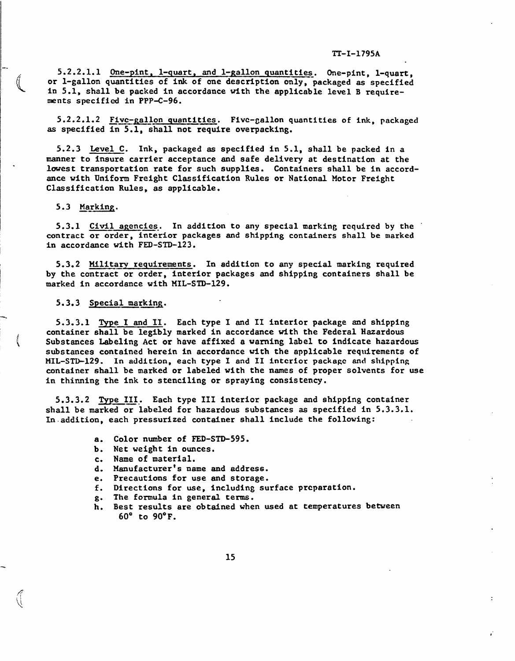**5.2.2.1.1 One-pint, l-quart, and l-gallon quantities-. One-pint, l-quart, or l-gallon quantities of ink of one description only, packaged as specified in 5.1, shall be packed in accordance with the applicable level B require- =nts specified in PPP-C-96.**

**5.2.2.1.2 ~ivc-gallon quantities. Five-gallon quantities of Ink, packaged as specified in 5.1, shall not r-ire overpacking.**

**5.2.3 Level C. Ink, packaged as specified In 5.1, shall be packed in a manner to insure carrier acceptance and safe delivery at destination at the lowest transportation rate for such supplies. Containers shall be in accordance with Uniform Freight Classification Rules or National Motor Freight**  $Classification Rules, as applicable.$ 

#### 5.3 **Marking.**

**5.3.1** <u>Civil agencies</u>. In addition to any special marking required by the **contract or order, interior packages and shipping containers shall be marked in accordance with FED-STD-123.**

**5.3.2 Mllitaxy requirements. In addition to any special marking required — by the contract or order, interior packages and shipping containers shall be marked in accordance wfth 141L-STD-129.**

#### 5.3.3 **Special marking.**

5.3.3.1 me I and II. **Each type I and II interior package and shipping** containershall be legibly **marked in accordance wfth the Federal Hazardous** SubstancesLabeling Act or **have affixed a warning label to indicate hazardous** substances **contain=d herein in accordance with the applicable requirements of MIL-STD-129. In addition, each type I and 11 I.ntcriorpackage and shipping container shall be marked or labeled with the names of proper solvents for use in thinning the ink to stenciling or spraying consistency.**

**5.3.3.2 ~e 111 Each type 111 interior package and shipping container ,—— .\* shall be marked or labeled for hazardous substances as specified in 5.3.3.1. In.addition, each pressurized container shall include the following:**

- **a. Color number of FED-STD-595.**
- **b. Net weight in ounces.**
- **c. Name of material.**
- **d. Manufacturerts name and address.**
- **e. Precautions for use and storage.**
- **f. Directions for use, including surface preparation.**
- **. The formula in general terms.**
- **:. Best results are obtained when used at temperatures between** 60" **to 90"F.**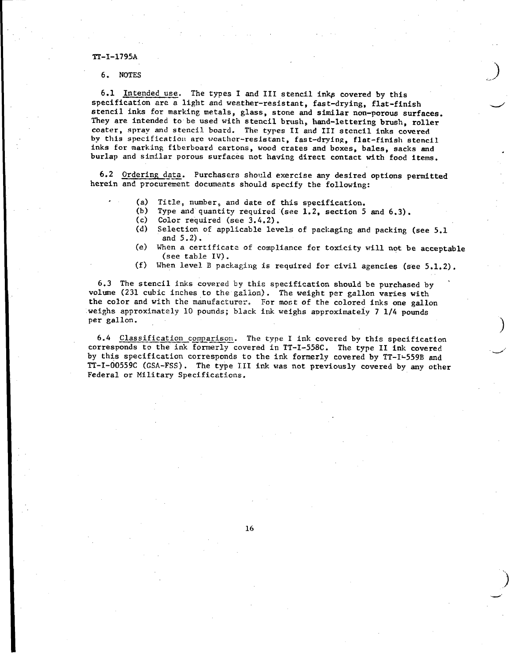#### **3X-I-1795A**

,

**6. NOTES ) ....-'**

6.1 Intended use. The types I and III stencil inks covered by this specification are a light and weather-resistant, fast-drying, flat-finish stencil inks for marking metals, glass, stone and similar non-porous surfaces. They are intended to be used with stencil brush, hand-lettering brush, roller coater, spray and stencil board. The types II and III stencil inks covered by this specification are weather-resistant, fast-drying, flat-finish stencil inks for marking fiberboard cartons, wood crates and boxes, bales, sacks and burlap and similar porous surfacea not having direct contact with food items.

**6.2 Ordering data. Purchasers should exercise any desired options permitted**  $h$ erein and procurement documents should specify the following:

- (a) Title, number, and date of this specification.
- (b) Type and'quantity required (see 1.2, section 5 and 6.3).
- (c) Color required (see **3.4.2).**
- (d) **Selection of applicable levels of packaging and packing (see 5.1 and 5.2).**
- (e) **when a certificate of compliance for toxicity will not be acceptable (see table IV).**

**\**

.

**)**

.. **)**

 $\overline{\phantom{0}}$ 

(f) **When level B packaCiligis required for civil agencies (see 5.1.2).**

 $6.3$  The stencil inks covered by this specification should be purchased by volume (231 cubic inches to the gallon). The weight per gallon varies with the color and with the manufacturer. For most of the colored inks one gallon weighs approximately 10 pounds; black ink weighs approximately 7 1/4 pounds per gallon.

6.4 Classification comparison. The type I ink covered by this specification corresponds to the ink formerly covered in TT-I-558C. The type II ink covered by this specification corresponds to the ink formerly covered by TT-I'559B and TT-1-oo559c (GSA-FSS). The type 111 ink was not previously covered by any other Federal or Military Specifications.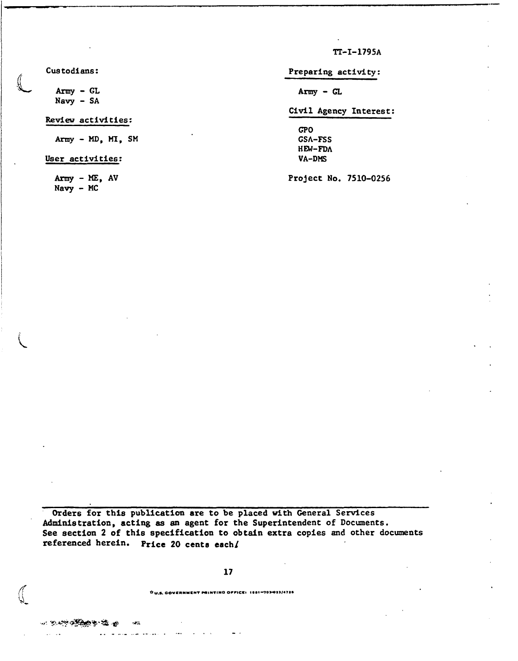$TT - I - 1795A$ 

Custodians:

Army - GL  $Navy - SA$ 

## Review activities:

Army - MD, MI, SM

User activities:

Army - ME, AV  $Navy - MC$ 

Preparing activity:

 $Array - GL$ 

## Civil Agency Interest:

**GPO GSA-FSS** HEW-FDA VA-DMS

Project No. 7510-0256

Orders for this publication are to be placed with General Services Administration, acting as an agent for the Superintendent of Documents. See section 2 of this specification to obtain extra copies and other documents referenced herein. Price 20 cents each/

## 17

OU.S. GOVERNMENT PRINTING OFFICE: 1881-703-023/4726

**この やくさん のうちょう**  $\epsilon T_{\rm K}$ 

والعقامة سندعاها ولا  $\sim$  1000  $\sim$  $\sim 10$   $\mu$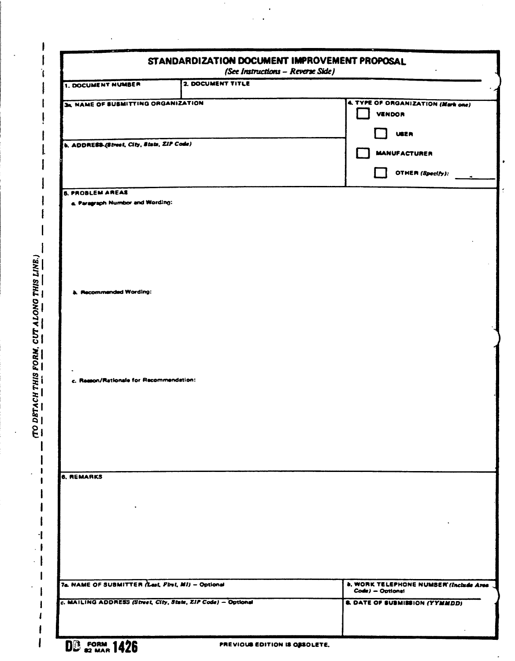|                                                               | STANDARDIZATION DOCUMENT IMPROVEMENT PROPOSAL<br>(See Instructions - Reverse Side) |                                                                   |
|---------------------------------------------------------------|------------------------------------------------------------------------------------|-------------------------------------------------------------------|
| <b>1. DOCUMENT NUMBER</b>                                     | 2. DOCUMENT TITLE                                                                  |                                                                   |
| <b>34. NAME OF SUBMITTING ORGANIZATION</b>                    |                                                                                    | 4. TYPE OF ORGANIZATION (Mark one)<br><b>VENDOR</b>               |
| b. ADDRESS-(Street, City, State, ZIP Code)                    |                                                                                    | <b>USER</b><br><b>MANUFACTURER</b>                                |
|                                                               |                                                                                    | OTHER (Specify):                                                  |
| <b>5. PROBLEM AREAS</b><br>a. Paragraph Number and Wording:   |                                                                                    |                                                                   |
|                                                               |                                                                                    |                                                                   |
| b. Recommended Wording:                                       |                                                                                    |                                                                   |
|                                                               |                                                                                    |                                                                   |
| c. Resson/Rationale for Recommendation:                       |                                                                                    |                                                                   |
|                                                               |                                                                                    |                                                                   |
| 6. REMARKS                                                    |                                                                                    |                                                                   |
|                                                               |                                                                                    |                                                                   |
| 7s. NAME OF SUBMITTER (Lest, Pirst, MI) - Optional            |                                                                                    | <b>b. WORK TELEPHONE NUMBER (Include Area</b><br>Code) - Optional |
| c. MAILING ADDRESS (Street, City, State, ZIP Code) - Optional |                                                                                    | <b>&amp; DATE OF SUBMISSION (YYMMDD)</b>                          |
| <b>BIR FORM 1.49P</b>                                         |                                                                                    |                                                                   |

.

1

 $\cdot$ 

 $\overline{\phantom{a}}$ 

 $\overline{\mathbf{I}}$ 

 $\mathbf{D}\mathbf{B}$  as MAR 1426